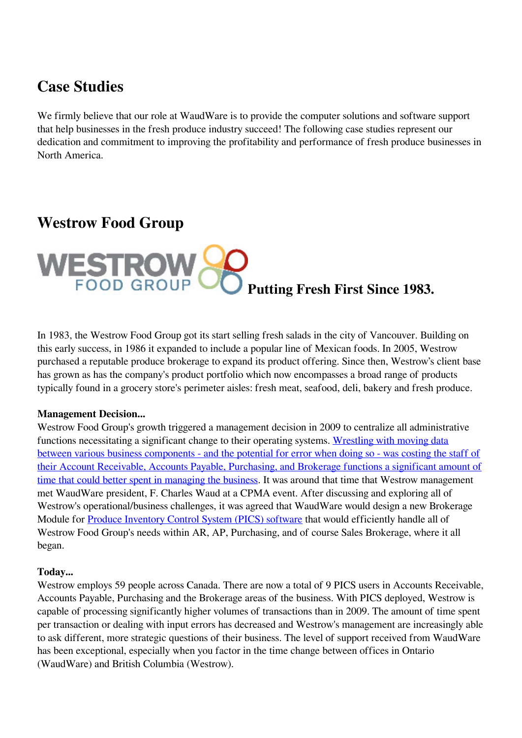# **Case Studies**

We firmly believe that our role at WaudWare is to provide the computer solutions and software support that help businesses in the fresh produce industry succeed! The following case studies represent our dedication and commitment to improving the profitability and performance of fresh produce businesses in North America.

# **Westrow Food Group**



In 1983, the Westrow Food Group got its start selling fresh salads in the city of Vancouver. Building on this early success, in 1986 it expanded to include a popular line of Mexican foods. In 2005, Westrow purchased a reputable produce brokerage to expand its product offering. Since then, Westrow's client base has grown as has the company's product portfolio which now encompasses a broad range of products typically found in a grocery store's perimeter aisles: fresh meat, seafood, deli, bakery and fresh produce.

### **Management Decision...**

Westrow Food Group's growth triggered a management decision in 2009 to centralize all administrative functions necessitating a significant change to their operating systems. [Wrestling with moving data](https://produceinventory.com/produce-inventory-control-system.html) [between various business components - and the potential for error when doing so - was costing the staff of](https://produceinventory.com/produce-inventory-control-system.html) [their Account Receivable, Accounts Payable, Purchasing, and Brokerage functions a significant amount of](https://produceinventory.com/produce-inventory-control-system.html) [time that could better spent in managing the business](https://produceinventory.com/produce-inventory-control-system.html). It was around that time that Westrow management met WaudWare president, F. Charles Waud at a CPMA event. After discussing and exploring all of Westrow's operational/business challenges, it was agreed that WaudWare would design a new Brokerage Module for [Produce Inventory Control System \(PICS\) software](https://produceinventory.com/produce-inventory-control-system.html) that would efficiently handle all of Westrow Food Group's needs within AR, AP, Purchasing, and of course Sales Brokerage, where it all began.

### **Today...**

Westrow employs 59 people across Canada. There are now a total of 9 PICS users in Accounts Receivable, Accounts Payable, Purchasing and the Brokerage areas of the business. With PICS deployed, Westrow is capable of processing significantly higher volumes of transactions than in 2009. The amount of time spent per transaction or dealing with input errors has decreased and Westrow's management are increasingly able to ask different, more strategic questions of their business. The level of support received from WaudWare has been exceptional, especially when you factor in the time change between offices in Ontario (WaudWare) and British Columbia (Westrow).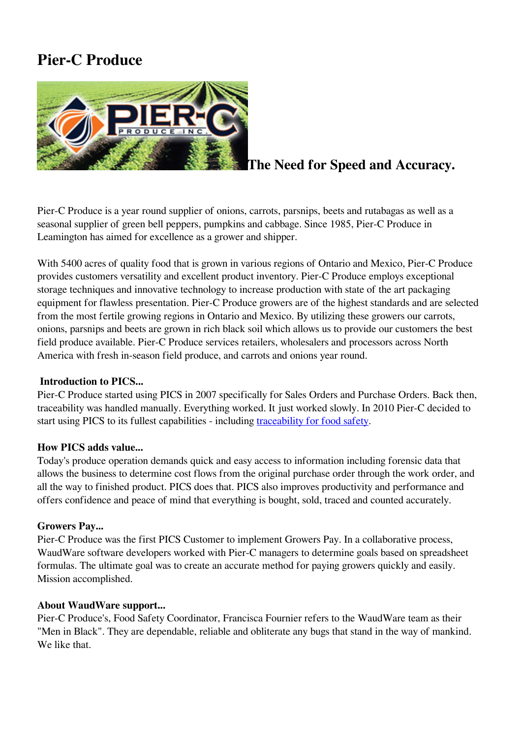# **Pier-C Produce**



## **The Need for Speed and Accuracy.**

Pier-C Produce is a year round supplier of onions, carrots, parsnips, beets and rutabagas as well as a seasonal supplier of green bell peppers, pumpkins and cabbage. Since 1985, Pier-C Produce in Leamington has aimed for excellence as a grower and shipper.

With 5400 acres of quality food that is grown in various regions of Ontario and Mexico, Pier-C Produce provides customers versatility and excellent product inventory. Pier-C Produce employs exceptional storage techniques and innovative technology to increase production with state of the art packaging equipment for flawless presentation. Pier-C Produce growers are of the highest standards and are selected from the most fertile growing regions in Ontario and Mexico. By utilizing these growers our carrots, onions, parsnips and beets are grown in rich black soil which allows us to provide our customers the best field produce available. Pier-C Produce services retailers, wholesalers and processors across North America with fresh in-season field produce, and carrots and onions year round.

### **Introduction to PICS...**

Pier-C Produce started using PICS in 2007 specifically for Sales Orders and Purchase Orders. Back then, traceability was handled manually. Everything worked. It just worked slowly. In 2010 Pier-C decided to start using PICS to its fullest capabilities - including [traceability for food safety](https://produceinventory.com/produce-inventory-control-system.html).

### **How PICS adds value...**

Today's produce operation demands quick and easy access to information including forensic data that allows the business to determine cost flows from the original purchase order through the work order, and all the way to finished product. PICS does that. PICS also improves productivity and performance and offers confidence and peace of mind that everything is bought, sold, traced and counted accurately.

### **Growers Pay...**

Pier-C Produce was the first PICS Customer to implement Growers Pay. In a collaborative process, WaudWare software developers worked with Pier-C managers to determine goals based on spreadsheet formulas. The ultimate goal was to create an accurate method for paying growers quickly and easily. Mission accomplished.

### **About WaudWare support...**

Pier-C Produce's, Food Safety Coordinator, Francisca Fournier refers to the WaudWare team as their "Men in Black". They are dependable, reliable and obliterate any bugs that stand in the way of mankind. We like that.